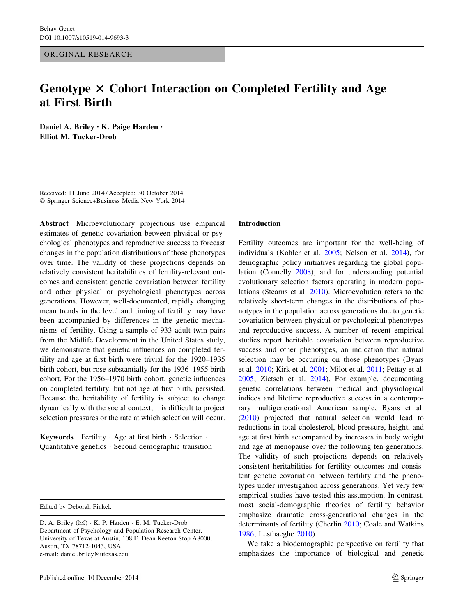ORIGINAL RESEARCH

# Genotype  $\times$  Cohort Interaction on Completed Fertility and Age at First Birth

Daniel A. Briley • K. Paige Harden • Elliot M. Tucker-Drob

Received: 11 June 2014 / Accepted: 30 October 2014 - Springer Science+Business Media New York 2014

Abstract Microevolutionary projections use empirical estimates of genetic covariation between physical or psychological phenotypes and reproductive success to forecast changes in the population distributions of those phenotypes over time. The validity of these projections depends on relatively consistent heritabilities of fertility-relevant outcomes and consistent genetic covariation between fertility and other physical or psychological phenotypes across generations. However, well-documented, rapidly changing mean trends in the level and timing of fertility may have been accompanied by differences in the genetic mechanisms of fertility. Using a sample of 933 adult twin pairs from the Midlife Development in the United States study, we demonstrate that genetic influences on completed fertility and age at first birth were trivial for the 1920–1935 birth cohort, but rose substantially for the 1936–1955 birth cohort. For the 1956–1970 birth cohort, genetic influences on completed fertility, but not age at first birth, persisted. Because the heritability of fertility is subject to change dynamically with the social context, it is difficult to project selection pressures or the rate at which selection will occur.

Keywords Fertility Age at first birth · Selection · Quantitative genetics - Second demographic transition

#### Introduction

Fertility outcomes are important for the well-being of individuals (Kohler et al. [2005](#page-12-0); Nelson et al. [2014](#page-12-0)), for demographic policy initiatives regarding the global population (Connelly [2008\)](#page-11-0), and for understanding potential evolutionary selection factors operating in modern populations (Stearns et al. [2010\)](#page-12-0). Microevolution refers to the relatively short-term changes in the distributions of phenotypes in the population across generations due to genetic covariation between physical or psychological phenotypes and reproductive success. A number of recent empirical studies report heritable covariation between reproductive success and other phenotypes, an indication that natural selection may be occurring on those phenotypes (Byars et al. [2010;](#page-11-0) Kirk et al. [2001;](#page-11-0) Milot et al. [2011](#page-12-0); Pettay et al. [2005](#page-12-0); Zietsch et al. [2014\)](#page-12-0). For example, documenting genetic correlations between medical and physiological indices and lifetime reproductive success in a contemporary multigenerational American sample, Byars et al. [\(2010](#page-11-0)) projected that natural selection would lead to reductions in total cholesterol, blood pressure, height, and age at first birth accompanied by increases in body weight and age at menopause over the following ten generations. The validity of such projections depends on relatively consistent heritabilities for fertility outcomes and consistent genetic covariation between fertility and the phenotypes under investigation across generations. Yet very few empirical studies have tested this assumption. In contrast, most social-demographic theories of fertility behavior emphasize dramatic cross-generational changes in the determinants of fertility (Cherlin [2010](#page-11-0); Coale and Watkins [1986](#page-11-0); Lesthaeghe [2010](#page-12-0)).

We take a biodemographic perspective on fertility that emphasizes the importance of biological and genetic

Edited by Deborah Finkel.

D. A. Briley (⊠) · K. P. Harden · E. M. Tucker-Drob Department of Psychology and Population Research Center, University of Texas at Austin, 108 E. Dean Keeton Stop A8000, Austin, TX 78712-1043, USA e-mail: daniel.briley@utexas.edu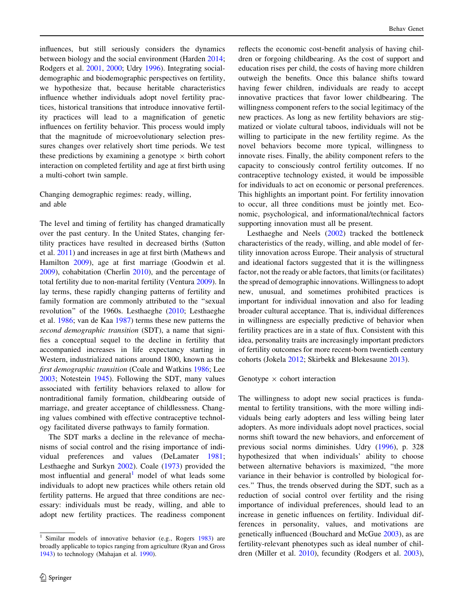influences, but still seriously considers the dynamics between biology and the social environment (Harden [2014](#page-11-0); Rodgers et al. [2001,](#page-12-0) [2000;](#page-12-0) Udry [1996](#page-12-0)). Integrating socialdemographic and biodemographic perspectives on fertility, we hypothesize that, because heritable characteristics influence whether individuals adopt novel fertility practices, historical transitions that introduce innovative fertility practices will lead to a magnification of genetic influences on fertility behavior. This process would imply that the magnitude of microevolutionary selection pressures changes over relatively short time periods. We test these predictions by examining a genotype  $\times$  birth cohort interaction on completed fertility and age at first birth using a multi-cohort twin sample.

# Changing demographic regimes: ready, willing, and able

The level and timing of fertility has changed dramatically over the past century. In the United States, changing fertility practices have resulted in decreased births (Sutton et al. [2011](#page-12-0)) and increases in age at first birth (Mathews and Hamilton [2009](#page-12-0)), age at first marriage (Goodwin et al. [2009\)](#page-11-0), cohabitation (Cherlin [2010](#page-11-0)), and the percentage of total fertility due to non-marital fertility (Ventura [2009](#page-12-0)). In lay terms, these rapidly changing patterns of fertility and family formation are commonly attributed to the ''sexual revolution'' of the 1960s. Lesthaeghe [\(2010](#page-12-0); Lesthaeghe et al. [1986;](#page-12-0) van de Kaa [1987](#page-12-0)) terms these new patterns the second demographic transition (SDT), a name that signifies a conceptual sequel to the decline in fertility that accompanied increases in life expectancy starting in Western, industrialized nations around 1800, known as the first demographic transition (Coale and Watkins [1986;](#page-11-0) Lee [2003;](#page-12-0) Notestein [1945](#page-12-0)). Following the SDT, many values associated with fertility behaviors relaxed to allow for nontraditional family formation, childbearing outside of marriage, and greater acceptance of childlessness. Changing values combined with effective contraceptive technology facilitated diverse pathways to family formation.

The SDT marks a decline in the relevance of mechanisms of social control and the rising importance of individual preferences and values (DeLamater [1981](#page-11-0); Lesthaeghe and Surkyn [2002\)](#page-12-0). Coale ([1973\)](#page-11-0) provided the most influential and general model of what leads some individuals to adopt new practices while others retain old fertility patterns. He argued that three conditions are necessary: individuals must be ready, willing, and able to adopt new fertility practices. The readiness component

reflects the economic cost-benefit analysis of having children or forgoing childbearing. As the cost of support and education rises per child, the costs of having more children outweigh the benefits. Once this balance shifts toward having fewer children, individuals are ready to accept innovative practices that favor lower childbearing. The willingness component refers to the social legitimacy of the new practices. As long as new fertility behaviors are stigmatized or violate cultural taboos, individuals will not be willing to participate in the new fertility regime. As the novel behaviors become more typical, willingness to innovate rises. Finally, the ability component refers to the capacity to consciously control fertility outcomes. If no contraceptive technology existed, it would be impossible for individuals to act on economic or personal preferences. This highlights an important point. For fertility innovation to occur, all three conditions must be jointly met. Economic, psychological, and informational/technical factors supporting innovation must all be present.

Lesthaeghe and Neels ([2002\)](#page-12-0) tracked the bottleneck characteristics of the ready, willing, and able model of fertility innovation across Europe. Their analysis of structural and ideational factors suggested that it is the willingness factor, not the ready or able factors, that limits (or facilitates) the spread of demographic innovations. Willingness to adopt new, unusual, and sometimes prohibited practices is important for individual innovation and also for leading broader cultural acceptance. That is, individual differences in willingness are especially predictive of behavior when fertility practices are in a state of flux. Consistent with this idea, personality traits are increasingly important predictors of fertility outcomes for more recent-born twentieth century cohorts (Jokela [2012;](#page-11-0) Skirbekk and Blekesaune [2013](#page-12-0)).

## Genotype  $\times$  cohort interaction

The willingness to adopt new social practices is fundamental to fertility transitions, with the more willing individuals being early adopters and less willing being later adopters. As more individuals adopt novel practices, social norms shift toward the new behaviors, and enforcement of previous social norms diminishes. Udry [\(1996](#page-12-0)), p. 328 hypothesized that when individuals' ability to choose between alternative behaviors is maximized, ''the more variance in their behavior is controlled by biological forces.'' Thus, the trends observed during the SDT, such as a reduction of social control over fertility and the rising importance of individual preferences, should lead to an increase in genetic influences on fertility. Individual differences in personality, values, and motivations are genetically influenced (Bouchard and McGue [2003](#page-11-0)), as are fertility-relevant phenotypes such as ideal number of children (Miller et al. [2010](#page-12-0)), fecundity (Rodgers et al. [2003](#page-12-0)),

<sup>&</sup>lt;sup>1</sup> Similar models of innovative behavior (e.g., Rogers [1983](#page-12-0)) are broadly applicable to topics ranging from agriculture (Ryan and Gross [1943\)](#page-12-0) to technology (Mahajan et al. [1990](#page-12-0)).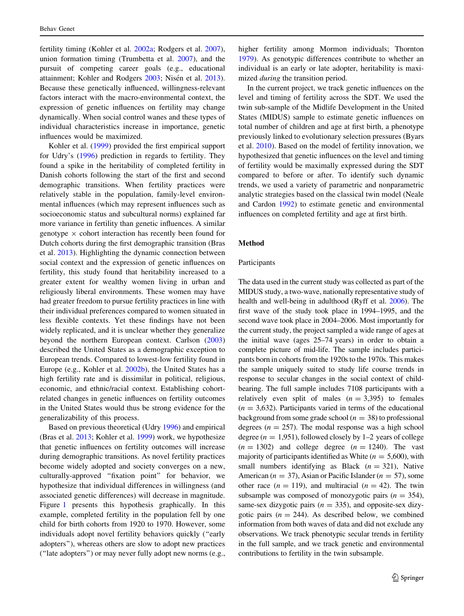fertility timing (Kohler et al. [2002a;](#page-12-0) Rodgers et al. [2007](#page-12-0)), union formation timing (Trumbetta et al. [2007\)](#page-12-0), and the pursuit of competing career goals (e.g., educational attainment; Kohler and Rodgers [2003;](#page-11-0) Nisén et al. [2013](#page-12-0)). Because these genetically influenced, willingness-relevant factors interact with the macro-environmental context, the expression of genetic influences on fertility may change dynamically. When social control wanes and these types of individual characteristics increase in importance, genetic influences would be maximized.

Kohler et al. ([1999\)](#page-11-0) provided the first empirical support for Udry's ([1996\)](#page-12-0) prediction in regards to fertility. They found a spike in the heritability of completed fertility in Danish cohorts following the start of the first and second demographic transitions. When fertility practices were relatively stable in the population, family-level environmental influences (which may represent influences such as socioeconomic status and subcultural norms) explained far more variance in fertility than genetic influences. A similar genotype  $\times$  cohort interaction has recently been found for Dutch cohorts during the first demographic transition (Bras et al. [2013\)](#page-11-0). Highlighting the dynamic connection between social context and the expression of genetic influences on fertility, this study found that heritability increased to a greater extent for wealthy women living in urban and religiously liberal environments. These women may have had greater freedom to pursue fertility practices in line with their individual preferences compared to women situated in less flexible contexts. Yet these findings have not been widely replicated, and it is unclear whether they generalize beyond the northern European context. Carlson ([2003\)](#page-11-0) described the United States as a demographic exception to European trends. Compared to lowest-low fertility found in Europe (e.g., Kohler et al. [2002b](#page-12-0)), the United States has a high fertility rate and is dissimilar in political, religious, economic, and ethnic/racial context. Establishing cohortrelated changes in genetic influences on fertility outcomes in the United States would thus be strong evidence for the generalizability of this process.

Based on previous theoretical (Udry [1996\)](#page-12-0) and empirical (Bras et al. [2013;](#page-11-0) Kohler et al. [1999\)](#page-11-0) work, we hypothesize that genetic influences on fertility outcomes will increase during demographic transitions. As novel fertility practices become widely adopted and society converges on a new, culturally-approved ''fixation point'' for behavior, we hypothesize that individual differences in willingness (and associated genetic differences) will decrease in magnitude. Figure [1](#page-3-0) presents this hypothesis graphically. In this example, completed fertility in the population fell by one child for birth cohorts from 1920 to 1970. However, some individuals adopt novel fertility behaviors quickly (''early adopters''), whereas others are slow to adopt new practices (''late adopters'') or may never fully adopt new norms (e.g., higher fertility among Mormon individuals; Thornton [1979](#page-12-0)). As genotypic differences contribute to whether an individual is an early or late adopter, heritability is maximized during the transition period.

In the current project, we track genetic influences on the level and timing of fertility across the SDT. We used the twin sub-sample of the Midlife Development in the United States (MIDUS) sample to estimate genetic influences on total number of children and age at first birth, a phenotype previously linked to evolutionary selection pressures (Byars et al. [2010\)](#page-11-0). Based on the model of fertility innovation, we hypothesized that genetic influences on the level and timing of fertility would be maximally expressed during the SDT compared to before or after. To identify such dynamic trends, we used a variety of parametric and nonparametric analytic strategies based on the classical twin model (Neale and Cardon [1992](#page-12-0)) to estimate genetic and environmental influences on completed fertility and age at first birth.

## Method

## Participants

The data used in the current study was collected as part of the MIDUS study, a two-wave, nationally representative study of health and well-being in adulthood (Ryff et al. [2006\)](#page-12-0). The first wave of the study took place in 1994–1995, and the second wave took place in 2004–2006. Most importantly for the current study, the project sampled a wide range of ages at the initial wave (ages 25–74 years) in order to obtain a complete picture of mid-life. The sample includes participants born in cohorts from the 1920s to the 1970s. This makes the sample uniquely suited to study life course trends in response to secular changes in the social context of childbearing. The full sample includes 7108 participants with a relatively even split of males  $(n = 3,395)$  to females  $(n = 3,632)$ . Participants varied in terms of the educational background from some grade school ( $n = 38$ ) to professional degrees ( $n = 257$ ). The modal response was a high school degree ( $n = 1,951$ ), followed closely by 1–2 years of college  $(n = 1302)$  and college degree  $(n = 1240)$ . The vast majority of participants identified as White ( $n = 5,600$ ), with small numbers identifying as Black  $(n = 321)$ , Native American ( $n = 37$ ), Asian or Pacific Islander ( $n = 57$ ), some other race  $(n = 119)$ , and multiracial  $(n = 42)$ . The twin subsample was composed of monozygotic pairs ( $n = 354$ ), same-sex dizygotic pairs ( $n = 335$ ), and opposite-sex dizygotic pairs ( $n = 244$ ). As described below, we combined information from both waves of data and did not exclude any observations. We track phenotypic secular trends in fertility in the full sample, and we track genetic and environmental contributions to fertility in the twin subsample.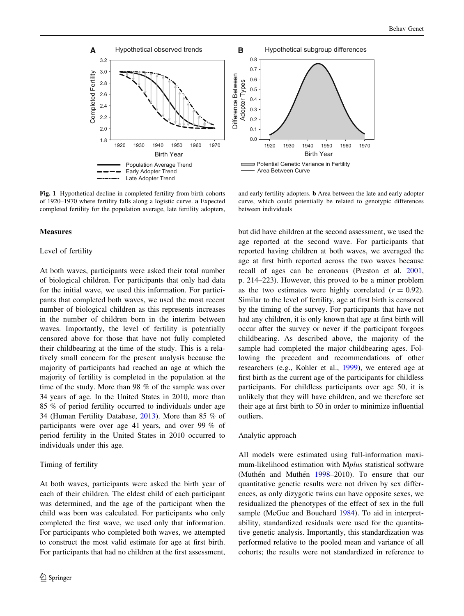<span id="page-3-0"></span>

Fig. 1 Hypothetical decline in completed fertility from birth cohorts of 1920–1970 where fertility falls along a logistic curve. a Expected completed fertility for the population average, late fertility adopters,

#### **Measures**

## Level of fertility

At both waves, participants were asked their total number of biological children. For participants that only had data for the initial wave, we used this information. For participants that completed both waves, we used the most recent number of biological children as this represents increases in the number of children born in the interim between waves. Importantly, the level of fertility is potentially censored above for those that have not fully completed their childbearing at the time of the study. This is a relatively small concern for the present analysis because the majority of participants had reached an age at which the majority of fertility is completed in the population at the time of the study. More than 98 % of the sample was over 34 years of age. In the United States in 2010, more than 85 % of period fertility occurred to individuals under age 34 (Human Fertility Database, [2013\)](#page-11-0). More than 85 % of participants were over age 41 years, and over 99 % of period fertility in the United States in 2010 occurred to individuals under this age.

#### Timing of fertility

At both waves, participants were asked the birth year of each of their children. The eldest child of each participant was determined, and the age of the participant when the child was born was calculated. For participants who only completed the first wave, we used only that information. For participants who completed both waves, we attempted to construct the most valid estimate for age at first birth. For participants that had no children at the first assessment,

and early fertility adopters. b Area between the late and early adopter curve, which could potentially be related to genotypic differences between individuals

but did have children at the second assessment, we used the age reported at the second wave. For participants that reported having children at both waves, we averaged the age at first birth reported across the two waves because recall of ages can be erroneous (Preston et al. [2001,](#page-12-0) p. 214–223). However, this proved to be a minor problem as the two estimates were highly correlated  $(r = 0.92)$ . Similar to the level of fertility, age at first birth is censored by the timing of the survey. For participants that have not had any children, it is only known that age at first birth will occur after the survey or never if the participant forgoes childbearing. As described above, the majority of the sample had completed the major childbearing ages. Following the precedent and recommendations of other researchers (e.g., Kohler et al., [1999](#page-11-0)), we entered age at first birth as the current age of the participants for childless participants. For childless participants over age 50, it is unlikely that they will have children, and we therefore set their age at first birth to 50 in order to minimize influential outliers.

## Analytic approach

All models were estimated using full-information maximum-likelihood estimation with Mplus statistical software (Muthén and Muthén [1998](#page-12-0)–2010). To ensure that our quantitative genetic results were not driven by sex differences, as only dizygotic twins can have opposite sexes, we residualized the phenotypes of the effect of sex in the full sample (McGue and Bouchard [1984\)](#page-12-0). To aid in interpretability, standardized residuals were used for the quantitative genetic analysis. Importantly, this standardization was performed relative to the pooled mean and variance of all cohorts; the results were not standardized in reference to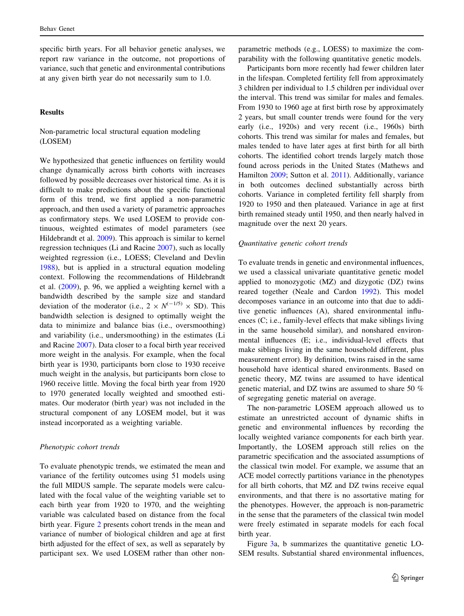specific birth years. For all behavior genetic analyses, we report raw variance in the outcome, not proportions of variance, such that genetic and environmental contributions at any given birth year do not necessarily sum to 1.0.

## Results

Non-parametric local structural equation modeling (LOSEM)

We hypothesized that genetic influences on fertility would change dynamically across birth cohorts with increases followed by possible decreases over historical time. As it is difficult to make predictions about the specific functional form of this trend, we first applied a non-parametric approach, and then used a variety of parametric approaches as confirmatory steps. We used LOSEM to provide continuous, weighted estimates of model parameters (see Hildebrandt et al. [2009](#page-11-0)). This approach is similar to kernel regression techniques (Li and Racine [2007\)](#page-12-0), such as locally weighted regression (i.e., LOESS; Cleveland and Devlin [1988\)](#page-11-0), but is applied in a structural equation modeling context. Following the recommendations of Hildebrandt et al. ([2009](#page-11-0)), p. 96, we applied a weighting kernel with a bandwidth described by the sample size and standard deviation of the moderator (i.e.,  $2 \times N^{(-1/5)} \times$  SD). This bandwidth selection is designed to optimally weight the data to minimize and balance bias (i.e., oversmoothing) and variability (i.e., undersmoothing) in the estimates (Li and Racine [2007](#page-12-0)). Data closer to a focal birth year received more weight in the analysis. For example, when the focal birth year is 1930, participants born close to 1930 receive much weight in the analysis, but participants born close to 1960 receive little. Moving the focal birth year from 1920 to 1970 generated locally weighted and smoothed estimates. Our moderator (birth year) was not included in the structural component of any LOSEM model, but it was instead incorporated as a weighting variable.

## Phenotypic cohort trends

To evaluate phenotypic trends, we estimated the mean and variance of the fertility outcomes using 51 models using the full MIDUS sample. The separate models were calculated with the focal value of the weighting variable set to each birth year from 1920 to 1970, and the weighting variable was calculated based on distance from the focal birth year. Figure [2](#page-5-0) presents cohort trends in the mean and variance of number of biological children and age at first birth adjusted for the effect of sex, as well as separately by participant sex. We used LOSEM rather than other non-

parametric methods (e.g., LOESS) to maximize the comparability with the following quantitative genetic models.

Participants born more recently had fewer children later in the lifespan. Completed fertility fell from approximately 3 children per individual to 1.5 children per individual over the interval. This trend was similar for males and females. From 1930 to 1960 age at first birth rose by approximately 2 years, but small counter trends were found for the very early (i.e., 1920s) and very recent (i.e., 1960s) birth cohorts. This trend was similar for males and females, but males tended to have later ages at first birth for all birth cohorts. The identified cohort trends largely match those found across periods in the United States (Mathews and Hamilton [2009](#page-12-0); Sutton et al. [2011](#page-12-0)). Additionally, variance in both outcomes declined substantially across birth cohorts. Variance in completed fertility fell sharply from 1920 to 1950 and then plateaued. Variance in age at first birth remained steady until 1950, and then nearly halved in magnitude over the next 20 years.

### Quantitative genetic cohort trends

To evaluate trends in genetic and environmental influences, we used a classical univariate quantitative genetic model applied to monozygotic (MZ) and dizygotic (DZ) twins reared together (Neale and Cardon [1992\)](#page-12-0). This model decomposes variance in an outcome into that due to additive genetic influences (A), shared environmental influences (C; i.e., family-level effects that make siblings living in the same household similar), and nonshared environmental influences (E; i.e., individual-level effects that make siblings living in the same household different, plus measurement error). By definition, twins raised in the same household have identical shared environments. Based on genetic theory, MZ twins are assumed to have identical genetic material, and DZ twins are assumed to share 50 % of segregating genetic material on average.

The non-parametric LOSEM approach allowed us to estimate an unrestricted account of dynamic shifts in genetic and environmental influences by recording the locally weighted variance components for each birth year. Importantly, the LOSEM approach still relies on the parametric specification and the associated assumptions of the classical twin model. For example, we assume that an ACE model correctly partitions variance in the phenotypes for all birth cohorts, that MZ and DZ twins receive equal environments, and that there is no assortative mating for the phenotypes. However, the approach is non-parametric in the sense that the parameters of the classical twin model were freely estimated in separate models for each focal birth year.

Figure [3a](#page-6-0), b summarizes the quantitative genetic LO-SEM results. Substantial shared environmental influences,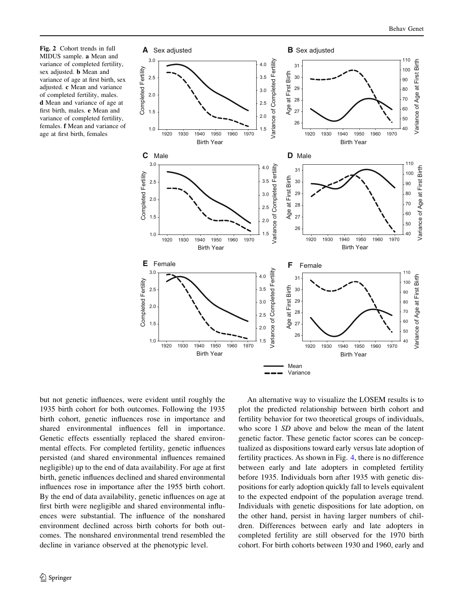<span id="page-5-0"></span>Fig. 2 Cohort trends in full MIDUS sample. a Mean and variance of completed fertility, sex adjusted. b Mean and variance of age at first birth, sex adjusted. c Mean and variance of completed fertility, males. d Mean and variance of age at first birth, males. e Mean and variance of completed fertility, females. f Mean and variance of age at first birth, females



but not genetic influences, were evident until roughly the 1935 birth cohort for both outcomes. Following the 1935 birth cohort, genetic influences rose in importance and shared environmental influences fell in importance. Genetic effects essentially replaced the shared environmental effects. For completed fertility, genetic influences persisted (and shared environmental influences remained negligible) up to the end of data availability. For age at first birth, genetic influences declined and shared environmental influences rose in importance after the 1955 birth cohort. By the end of data availability, genetic influences on age at first birth were negligible and shared environmental influences were substantial. The influence of the nonshared environment declined across birth cohorts for both outcomes. The nonshared environmental trend resembled the decline in variance observed at the phenotypic level.

An alternative way to visualize the LOSEM results is to plot the predicted relationship between birth cohort and fertility behavior for two theoretical groups of individuals, who score 1 SD above and below the mean of the latent genetic factor. These genetic factor scores can be conceptualized as dispositions toward early versus late adoption of fertility practices. As shown in Fig. [4](#page-7-0), there is no difference between early and late adopters in completed fertility before 1935. Individuals born after 1935 with genetic dispositions for early adoption quickly fall to levels equivalent to the expected endpoint of the population average trend. Individuals with genetic dispositions for late adoption, on the other hand, persist in having larger numbers of children. Differences between early and late adopters in completed fertility are still observed for the 1970 birth cohort. For birth cohorts between 1930 and 1960, early and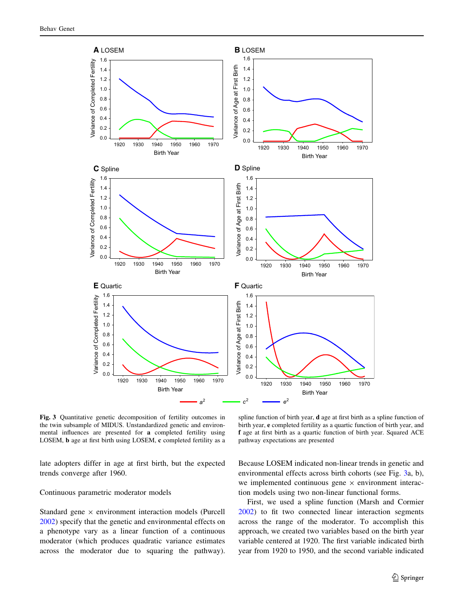<span id="page-6-0"></span>

Fig. 3 Quantitative genetic decomposition of fertility outcomes in the twin subsample of MIDUS. Unstandardized genetic and environmental influences are presented for a completed fertility using LOSEM, **b** age at first birth using LOSEM, **c** completed fertility as a

spline function of birth year, d age at first birth as a spline function of birth year, e completed fertility as a quartic function of birth year, and f age at first birth as a quartic function of birth year. Squared ACE pathway expectations are presented

late adopters differ in age at first birth, but the expected trends converge after 1960.

## Continuous parametric moderator models

Standard gene  $\times$  environment interaction models (Purcell [2002\)](#page-12-0) specify that the genetic and environmental effects on a phenotype vary as a linear function of a continuous moderator (which produces quadratic variance estimates across the moderator due to squaring the pathway). Because LOSEM indicated non-linear trends in genetic and environmental effects across birth cohorts (see Fig. 3a, b), we implemented continuous gene  $\times$  environment interaction models using two non-linear functional forms.

First, we used a spline function (Marsh and Cormier [2002](#page-12-0)) to fit two connected linear interaction segments across the range of the moderator. To accomplish this approach, we created two variables based on the birth year variable centered at 1920. The first variable indicated birth year from 1920 to 1950, and the second variable indicated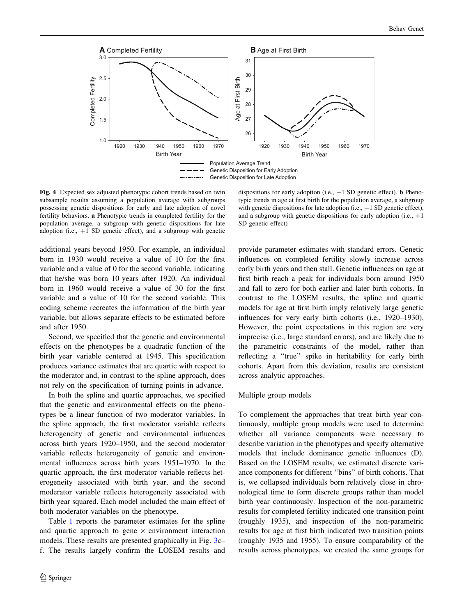<span id="page-7-0"></span>

Fig. 4 Expected sex adjusted phenotypic cohort trends based on twin subsample results assuming a population average with subgroups possessing genetic dispositions for early and late adoption of novel fertility behaviors. a Phenotypic trends in completed fertility for the population average, a subgroup with genetic dispositions for late adoption (i.e.,  $+1$  SD genetic effect), and a subgroup with genetic

additional years beyond 1950. For example, an individual born in 1930 would receive a value of 10 for the first variable and a value of 0 for the second variable, indicating that he/she was born 10 years after 1920. An individual born in 1960 would receive a value of 30 for the first variable and a value of 10 for the second variable. This coding scheme recreates the information of the birth year variable, but allows separate effects to be estimated before and after 1950.

Second, we specified that the genetic and environmental effects on the phenotypes be a quadratic function of the birth year variable centered at 1945. This specification produces variance estimates that are quartic with respect to the moderator and, in contrast to the spline approach, does not rely on the specification of turning points in advance.

In both the spline and quartic approaches, we specified that the genetic and environmental effects on the phenotypes be a linear function of two moderator variables. In the spline approach, the first moderator variable reflects heterogeneity of genetic and environmental influences across birth years 1920–1950, and the second moderator variable reflects heterogeneity of genetic and environmental influences across birth years 1951–1970. In the quartic approach, the first moderator variable reflects heterogeneity associated with birth year, and the second moderator variable reflects heterogeneity associated with birth year squared. Each model included the main effect of both moderator variables on the phenotype.

Table [1](#page-8-0) reports the parameter estimates for the spline and quartic approach to gene  $\times$  environment interaction models. These results are presented graphically in Fig. [3c](#page-6-0)– f. The results largely confirm the LOSEM results and

dispositions for early adoption (i.e.,  $-1$  SD genetic effect). **b** Phenotypic trends in age at first birth for the population average, a subgroup with genetic dispositions for late adoption (i.e.,  $-1$  SD genetic effect), and a subgroup with genetic dispositions for early adoption (i.e.,  $+1$ ) SD genetic effect)

provide parameter estimates with standard errors. Genetic influences on completed fertility slowly increase across early birth years and then stall. Genetic influences on age at first birth reach a peak for individuals born around 1950 and fall to zero for both earlier and later birth cohorts. In contrast to the LOSEM results, the spline and quartic models for age at first birth imply relatively large genetic influences for very early birth cohorts (i.e., 1920–1930). However, the point expectations in this region are very imprecise (i.e., large standard errors), and are likely due to the parametric constraints of the model, rather than reflecting a ''true'' spike in heritability for early birth cohorts. Apart from this deviation, results are consistent across analytic approaches.

## Multiple group models

To complement the approaches that treat birth year continuously, multiple group models were used to determine whether all variance components were necessary to describe variation in the phenotypes and specify alternative models that include dominance genetic influences (D). Based on the LOSEM results, we estimated discrete variance components for different ''bins'' of birth cohorts. That is, we collapsed individuals born relatively close in chronological time to form discrete groups rather than model birth year continuously. Inspection of the non-parametric results for completed fertility indicated one transition point (roughly 1935), and inspection of the non-parametric results for age at first birth indicated two transition points (roughly 1935 and 1955). To ensure comparability of the results across phenotypes, we created the same groups for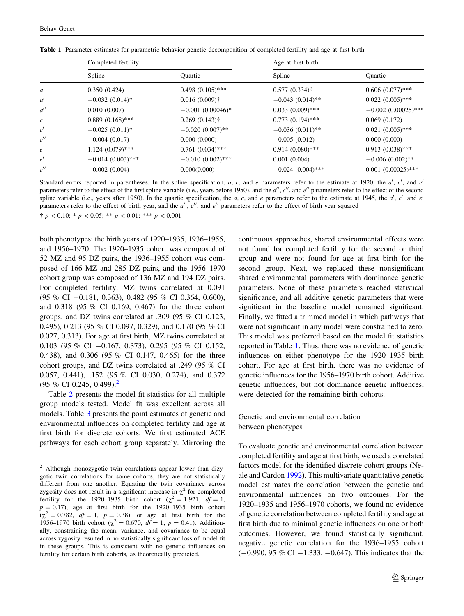|                    | Completed fertility |                             | Age at first birth  |                         |
|--------------------|---------------------|-----------------------------|---------------------|-------------------------|
|                    | Spline              | <b>Ouartic</b>              | Spline              | <b>Quartic</b>          |
| a                  | 0.350(0.424)        | $0.498(0.105)$ ***          | $0.577(0.334)$ †    | $0.606(0.077)$ ***      |
| $a^{\prime}$       | $-0.032(0.014)$ *   | $0.016(0.009)$ †            | $-0.043(0.014)$ **  | $0.022$ $(0.005)$ ***   |
| $a^{\prime\prime}$ | 0.010(0.007)        | $-0.001(0.00046)$ *         | $0.033(0.009)$ ***  | $-0.002(0.00025)$ ***   |
| $\mathcal{C}$      | $0.889(0.168)$ ***  | $0.269(0.143)$ <sup>†</sup> | $0.773(0.194)$ ***  | 0.069(0.172)            |
| c'                 | $-0.025(0.011)^*$   | $-0.020(0.007)$ **          | $-0.036(0.011)$ **  | $0.021~(0.005)$ ***     |
| $c^{\prime\prime}$ | $-0.004(0.017)$     | 0.000(0.000)                | $-0.005(0.012)$     | 0.000(0.000)            |
| $\epsilon$         | $1.124(0.079)$ ***  | $0.761(0.034)$ ***          | $0.914(0.080)$ ***  | $0.913(0.038)$ ***      |
| $e^{\prime}$       | $-0.014(0.003)$ *** | $-0.010(0.002)$ ***         | 0.001(0.004)        | $-0.006(0.002)$ **      |
| $e^{\prime\prime}$ | $-0.002(0.004)$     | 0.000(0.000)                | $-0.024(0.004)$ *** | $0.001$ $(0.00025)$ *** |

<span id="page-8-0"></span>Table 1 Parameter estimates for parametric behavior genetic decomposition of completed fertility and age at first birth

Standard errors reported in parentheses. In the spline specification,  $a$ ,  $c$ , and  $e$  parameters refer to the estimate at 1920, the  $a'$ ,  $c'$ , and  $e'$ parameters refer to the effect of the first spline variable (i.e., years before 1950), and the  $a''$ ,  $c''$ , and  $e''$  parameters refer to the effect of the second spline variable (i.e., years after 1950). In the quartic specification, the a, c, and e parameters refer to the estimate at 1945, the  $a'$ ,  $c'$ , and  $e'$ parameters refer to the effect of birth year, and the  $a''$ ,  $c''$ , and  $e''$  parameters refer to the effect of birth year squared  $\uparrow p < 0.10; \, \ast \, p < 0.05; \, \ast \ast \, p < 0.01; \, \ast \ast \ast \, p < 0.001$ 

both phenotypes: the birth years of 1920–1935, 1936–1955, and 1956–1970. The 1920–1935 cohort was composed of 52 MZ and 95 DZ pairs, the 1936–1955 cohort was composed of 166 MZ and 285 DZ pairs, and the 1956–1970 cohort group was composed of 136 MZ and 194 DZ pairs. For completed fertility, MZ twins correlated at 0.091 (95 % CI -0.181, 0.363), 0.482 (95 % CI 0.364, 0.600), and 0.318 (95 % CI 0.169, 0.467) for the three cohort groups, and DZ twins correlated at .309 (95 % CI 0.123, 0.495), 0.213 (95 % CI 0.097, 0.329), and 0.170 (95 % CI 0.027, 0.313). For age at first birth, MZ twins correlated at 0.103 (95 % CI -0.167, 0.373), 0.295 (95 % CI 0.152, 0.438), and 0.306 (95 % CI 0.147, 0.465) for the three cohort groups, and DZ twins correlated at .249 (95 % CI 0.057, 0.441), .152 (95 % CI 0.030, 0.274), and 0.372  $(95\% \text{ CI } 0.245, 0.499).^{2}$ 

Table [2](#page-9-0) presents the model fit statistics for all multiple group models tested. Model fit was excellent across all models. Table [3](#page-10-0) presents the point estimates of genetic and environmental influences on completed fertility and age at first birth for discrete cohorts. We first estimated ACE pathways for each cohort group separately. Mirroring the

continuous approaches, shared environmental effects were not found for completed fertility for the second or third group and were not found for age at first birth for the second group. Next, we replaced these nonsignificant shared environmental parameters with dominance genetic parameters. None of these parameters reached statistical significance, and all additive genetic parameters that were significant in the baseline model remained significant. Finally, we fitted a trimmed model in which pathways that were not significant in any model were constrained to zero. This model was preferred based on the model fit statistics reported in Table 1. Thus, there was no evidence of genetic influences on either phenotype for the 1920–1935 birth cohort. For age at first birth, there was no evidence of genetic influences for the 1956–1970 birth cohort. Additive genetic influences, but not dominance genetic influences, were detected for the remaining birth cohorts.

## Genetic and environmental correlation between phenotypes

To evaluate genetic and environmental correlation between completed fertility and age at first birth, we used a correlated factors model for the identified discrete cohort groups (Neale and Cardon [1992\)](#page-12-0). This multivariate quantitative genetic model estimates the correlation between the genetic and environmental influences on two outcomes. For the 1920–1935 and 1956–1970 cohorts, we found no evidence of genetic correlation between completed fertility and age at first birth due to minimal genetic influences on one or both outcomes. However, we found statistically significant, negative genetic correlation for the 1936–1955 cohort  $(-0.990, 95 \% \text{ CI} -1.333, -0.647)$ . This indicates that the

 $\sqrt{2}$  Although monozygotic twin correlations appear lower than dizygotic twin correlations for some cohorts, they are not statistically different from one another. Equating the twin covariance across zygosity does not result in a significant increase in  $\chi^2$  for completed fertility for the 1920–1935 birth cohort ( $\chi^2 = 1.921$ ,  $df = 1$ ,  $p = 0.17$ , age at first birth for the 1920–1935 birth cohort  $(\chi^2 = 0.782, df = 1, p = 0.38)$ , or age at first birth for the 1956–1970 birth cohort ( $\chi^2 = 0.670$ ,  $df = 1$ ,  $p = 0.41$ ). Additionally, constraining the mean, variance, and covariance to be equal across zygosity resulted in no statistically significant loss of model fit in these groups. This is consistent with no genetic influences on fertility for certain birth cohorts, as theoretically predicted.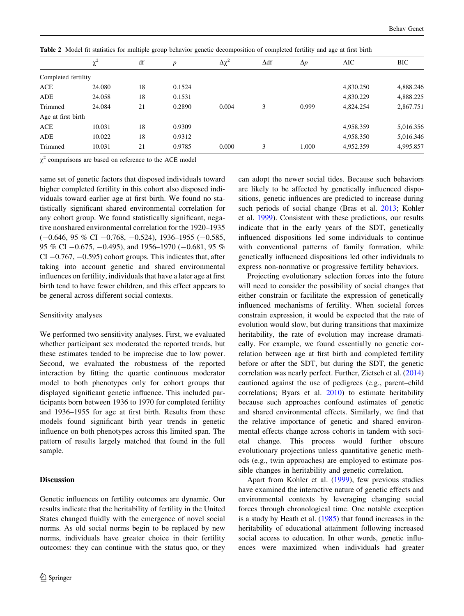|                     |          | ັ  | ັ      |                 |             |            | ັ          |            |
|---------------------|----------|----|--------|-----------------|-------------|------------|------------|------------|
|                     | $\chi^2$ | df | p      | $\Delta \chi^2$ | $\Delta df$ | $\Delta p$ | <b>AIC</b> | <b>BIC</b> |
| Completed fertility |          |    |        |                 |             |            |            |            |
| ACE                 | 24.080   | 18 | 0.1524 |                 |             |            | 4,830.250  | 4,888.246  |
| ADE                 | 24.058   | 18 | 0.1531 |                 |             |            | 4,830.229  | 4,888.225  |
| Trimmed             | 24.084   | 21 | 0.2890 | 0.004           | 3           | 0.999      | 4,824.254  | 2,867.751  |
| Age at first birth  |          |    |        |                 |             |            |            |            |
| ACE                 | 10.031   | 18 | 0.9309 |                 |             |            | 4,958.359  | 5,016.356  |
| ADE                 | 10.022   | 18 | 0.9312 |                 |             |            | 4,958.350  | 5,016.346  |
| Trimmed             | 10.031   | 21 | 0.9785 | 0.000           | 3           | 1.000      | 4,952.359  | 4,995.857  |

<span id="page-9-0"></span>Table 2 Model fit statistics for multiple group behavior genetic decomposition of completed fertility and age at first birth

 $\chi^2$  comparisons are based on reference to the ACE model

same set of genetic factors that disposed individuals toward higher completed fertility in this cohort also disposed individuals toward earlier age at first birth. We found no statistically significant shared environmental correlation for any cohort group. We found statistically significant, negative nonshared environmental correlation for the 1920–1935  $(-0.646, 95\% \text{ CI} -0.768, -0.524), 1936 - 1955 (-0.585,$ 95 % CI  $-0.675$ ,  $-0.495$ ), and 1956–1970 ( $-0.681$ , 95 %  $CI -0.767, -0.595$  cohort groups. This indicates that, after taking into account genetic and shared environmental influences on fertility, individuals that have a later age at first birth tend to have fewer children, and this effect appears to be general across different social contexts.

## Sensitivity analyses

We performed two sensitivity analyses. First, we evaluated whether participant sex moderated the reported trends, but these estimates tended to be imprecise due to low power. Second, we evaluated the robustness of the reported interaction by fitting the quartic continuous moderator model to both phenotypes only for cohort groups that displayed significant genetic influence. This included participants born between 1936 to 1970 for completed fertility and 1936–1955 for age at first birth. Results from these models found significant birth year trends in genetic influence on both phenotypes across this limited span. The pattern of results largely matched that found in the full sample.

# Discussion

Genetic influences on fertility outcomes are dynamic. Our results indicate that the heritability of fertility in the United States changed fluidly with the emergence of novel social norms. As old social norms begin to be replaced by new norms, individuals have greater choice in their fertility outcomes: they can continue with the status quo, or they

can adopt the newer social tides. Because such behaviors are likely to be affected by genetically influenced dispositions, genetic influences are predicted to increase during such periods of social change (Bras et al. [2013](#page-11-0); Kohler et al. [1999](#page-11-0)). Consistent with these predictions, our results indicate that in the early years of the SDT, genetically influenced dispositions led some individuals to continue with conventional patterns of family formation, while genetically influenced dispositions led other individuals to express non-normative or progressive fertility behaviors.

Projecting evolutionary selection forces into the future will need to consider the possibility of social changes that either constrain or facilitate the expression of genetically influenced mechanisms of fertility. When societal forces constrain expression, it would be expected that the rate of evolution would slow, but during transitions that maximize heritability, the rate of evolution may increase dramatically. For example, we found essentially no genetic correlation between age at first birth and completed fertility before or after the SDT, but during the SDT, the genetic correlation was nearly perfect. Further, Zietsch et al. ([2014\)](#page-12-0) cautioned against the use of pedigrees (e.g., parent–child correlations; Byars et al. [2010\)](#page-11-0) to estimate heritability because such approaches confound estimates of genetic and shared environmental effects. Similarly, we find that the relative importance of genetic and shared environmental effects change across cohorts in tandem with societal change. This process would further obscure evolutionary projections unless quantitative genetic methods (e.g., twin approaches) are employed to estimate possible changes in heritability and genetic correlation.

Apart from Kohler et al. ([1999\)](#page-11-0), few previous studies have examined the interactive nature of genetic effects and environmental contexts by leveraging changing social forces through chronological time. One notable exception is a study by Heath et al. [\(1985](#page-11-0)) that found increases in the heritability of educational attainment following increased social access to education. In other words, genetic influences were maximized when individuals had greater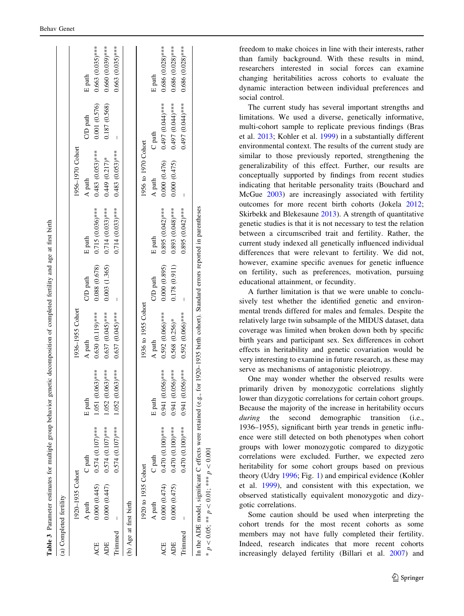<span id="page-10-0"></span>

|                        | (a) Completed fertility |                    |                    |                     |                   |                    |                     |                  |                      |
|------------------------|-------------------------|--------------------|--------------------|---------------------|-------------------|--------------------|---------------------|------------------|----------------------|
|                        | 1920-1935 Cohort        |                    |                    | 1936–1955 Cohort    |                   |                    | 1956-1970 Cohort    |                  |                      |
|                        | A path                  | C path             | E path             | A path              | C/D path          | E path             | A path              | C/D path         | E path               |
| ACE                    | 0.000(0.445)            | $0.574(0.107)$ *** | $1.051(0.063)$ *** | $0.630(0.119)$ ***  | 0.088(0.678)      | $0.715(0.036)$ *** | $0.483(0.053)$ ***  | 0.001(0.576)     | $0.663$ $(0.035)***$ |
| <b>ADE</b>             | 0.000(0.447)            | $0.574(0.107)$ *** | $1.052(0.063)***$  | $0.637(0.045)$ ***  | $0.003$ $(1.365)$ | $0.714(0.033)$ *** | $0.449(0.217)*$     | 0.187 (0.568)    | $0.660(0.039)$ ***   |
| Trimmed                |                         | $0.574(0.107)$ *** | $1.052(0.063)***$  | $0.637 (0.045)$ *** |                   | $0.714(0.033)$ *** | $0.483(0.053)$ ***  |                  | $0.663$ $(0.035)***$ |
| (b) Age at first birth |                         |                    |                    |                     |                   |                    |                     |                  |                      |
|                        | 1920 to 1935 Cohort     |                    |                    | 1936 to 1955 Cohort |                   |                    | 1956 to 1970 Cohort |                  |                      |
|                        | A path                  | C path             | E path             | A path              | C/D path          | E path             | A path              | C path           | E path               |
| ACE                    | 0.000(0.474)            | $0.470(0.100)***$  | $0.941(0.056)$ *** | $0.592(0.066)$ ***  | 0.000(0.895)      | $0.895(0.042)$ *** | 0.000(0.476)        | 0.497 (0.044)*** | $0.686(0.028)$ ***   |
| <b>ADE</b>             | 0.000(0.475)            | $0.470(0.100)$ *** | $0.941(0.056)$ *** | $0.568$ $(0.256)$ * | 0.178(0.911)      | $0.893(0.048)$ *** | 0.000(0.475)        | 0.497 (0.044)*** | $0.686$ $(0.028)***$ |
| Trimmed                |                         | $0.470(0.100)$ *** | $0.941(0.056)$ *** | $0.592(0.066)$ ***  |                   | $0.895(0.042)$ *** |                     | 0.497 (0.044)*** | $0.686(0.028)$ ***   |

freedom to make choices in line with their interests, rather than family background. With these results in mind, researchers interested in social forces can examine changing heritabilities across cohorts to evaluate the dynamic interaction between individual preferences and social control.

The current study has several important strengths and limitations. We used a diverse, genetically informative, multi-cohort sample to replicate previous findings (Bras et al. [2013;](#page-11-0) Kohler et al. [1999\)](#page-11-0) in a substantially different environmental context. The results of the current study are similar to those previously reported, strengthening the generalizability of this effect. Further, our results are conceptually supported by findings from recent studies indicating that heritable personality traits (Bouchard and McGue [2003\)](#page-11-0) are increasingly associated with fertility outcomes for more recent birth cohorts (Jokela [2012](#page-11-0); Skirbekk and Blekesaune [2013](#page-12-0)). A strength of quantitative genetic studies is that it is not necessary to test the relation between a circumscribed trait and fertility. Rather, the current study indexed all genetically influenced individual differences that were relevant to fertility. We did not, however, examine specific avenues for genetic influence on fertility, such as preferences, motivation, pursuing educational attainment, or fecundity.

A further limitation is that we were unable to conclusively test whether the identified genetic and environmental trends differed for males and females. Despite the relatively large twin subsample of the MIDUS dataset, data coverage was limited when broken down both by specific birth years and participant sex. Sex differences in cohort effects in heritability and genetic covariation would be very interesting to examine in future research, as these may serve as mechanisms of antagonistic pleiotropy.

One may wonder whether the observed results were primarily driven by monozygotic correlations slightly lower than dizygotic correlations for certain cohort groups. Because the majority of the increase in heritability occurs during the second demographic transition (i.e., 1936–1955), significant birth year trends in genetic influence were still detected on both phenotypes when cohort groups with lower monozygotic compared to dizygotic correlations were excluded. Further, we expected zero heritability for some cohort groups based on previous theory (Udry [1996;](#page-12-0) Fig. [1](#page-3-0)) and empirical evidence (Kohler et al. [1999\)](#page-11-0), and consistent with this expectation, we observed statistically equivalent monozygotic and dizygotic correlations.

Some caution should be used when interpreting the cohort trends for the most recent cohorts as some members may not have fully completed their fertility. Indeed, research indicates that more recent cohorts increasingly delayed fertility (Billari et al. [2007](#page-11-0)) and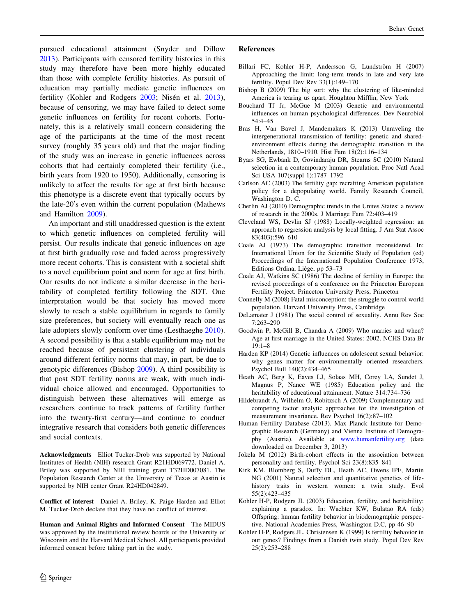<span id="page-11-0"></span>pursued educational attainment (Snyder and Dillow [2013\)](#page-12-0). Participants with censored fertility histories in this study may therefore have been more highly educated than those with complete fertility histories. As pursuit of education may partially mediate genetic influences on fertility (Kohler and Rodgers 2003; Nisén et al. [2013](#page-12-0)), because of censoring, we may have failed to detect some genetic influences on fertility for recent cohorts. Fortunately, this is a relatively small concern considering the age of the participants at the time of the most recent survey (roughly 35 years old) and that the major finding of the study was an increase in genetic influences across cohorts that had certainly completed their fertility (i.e., birth years from 1920 to 1950). Additionally, censoring is unlikely to affect the results for age at first birth because this phenotype is a discrete event that typically occurs by the late-20's even within the current population (Mathews and Hamilton [2009\)](#page-12-0).

An important and still unaddressed question is the extent to which genetic influences on completed fertility will persist. Our results indicate that genetic influences on age at first birth gradually rose and faded across progressively more recent cohorts. This is consistent with a societal shift to a novel equilibrium point and norm for age at first birth. Our results do not indicate a similar decrease in the heritability of completed fertility following the SDT. One interpretation would be that society has moved more slowly to reach a stable equilibrium in regards to family size preferences, but society will eventually reach one as late adopters slowly conform over time (Lesthaeghe [2010](#page-12-0)). A second possibility is that a stable equilibrium may not be reached because of persistent clustering of individuals around different fertility norms that may, in part, be due to genotypic differences (Bishop 2009). A third possibility is that post SDT fertility norms are weak, with much individual choice allowed and encouraged. Opportunities to distinguish between these alternatives will emerge as researchers continue to track patterns of fertility further into the twenty-first century—and continue to conduct integrative research that considers both genetic differences and social contexts.

Acknowledgments Elliot Tucker-Drob was supported by National Institutes of Health (NIH) research Grant R21HD069772. Daniel A. Briley was supported by NIH training grant T32HD007081. The Population Research Center at the University of Texas at Austin is supported by NIH center Grant R24HD042849.

Conflict of interest Daniel A. Briley, K. Paige Harden and Elliot M. Tucker-Drob declare that they have no conflict of interest.

Human and Animal Rights and Informed Consent The MIDUS was approved by the institutional review boards of the University of Wisconsin and the Harvard Medical School. All participants provided informed consent before taking part in the study.

#### References

- Billari FC, Kohler H-P, Andersson G, Lundström H (2007) Approaching the limit: long-term trends in late and very late fertility. Popul Dev Rev 33(1):149–170
- Bishop B (2009) The big sort: why the clustering of like-minded America is tearing us apart. Houghton Mifflin, New York
- Bouchard TJ Jr, McGue M (2003) Genetic and environmental influences on human psychological differences. Dev Neurobiol 54:4–45
- Bras H, Van Bavel J, Mandemakers K (2013) Unraveling the intergenerational transmission of fertility: genetic and sharedenvironment effects during the demographic transition in the Netherlands, 1810–1910. Hist Fam 18(2):116–134
- Byars SG, Ewbank D, Govindaraju DR, Stearns SC (2010) Natural selection in a contemporary human population. Proc Natl Acad Sci USA 107(suppl 1):1787–1792
- Carlson AC (2003) The fertility gap: recrafting American population policy for a depopulating world. Family Research Council, Washington D. C.
- Cherlin AJ (2010) Demographic trends in the Unites States: a review of research in the 2000s. J Marriage Fam 72:403–419
- Cleveland WS, Devlin SJ (1988) Locally-weighted regression: an approach to regression analysis by local fitting. J Am Stat Assoc 83(403):596–610
- Coale AJ (1973) The demographic transition reconsidered. In: International Union for the Scientific Study of Population (ed) Proceedings of the International Population Conference 1973, Editions Ordina, Liège, pp 53–73
- Coale AJ, Watkins SC (1986) The decline of fertility in Europe: the revised proceedings of a conference on the Princeton European Fertility Project. Princeton University Press, Princeton
- Connelly M (2008) Fatal misconception: the struggle to control world population. Harvard University Press, Cambridge
- DeLamater J (1981) The social control of sexuality. Annu Rev Soc 7:263–290
- Goodwin P, McGill B, Chandra A (2009) Who marries and when? Age at first marriage in the United States: 2002. NCHS Data Br 19:1–8
- Harden KP (2014) Genetic influences on adolescent sexual behavior: why genes matter for environmentally oriented researchers. Psychol Bull 140(2):434–465
- Heath AC, Berg K, Eaves LJ, Solaas MH, Corey LA, Sundet J, Magnus P, Nance WE (1985) Education policy and the heritability of educational attainment. Nature 314:734–736
- Hildebrandt A, Wilhelm O, Robitzsch A (2009) Complementary and competing factor analytic approaches for the investigation of measurement invariance. Rev Psychol 16(2):87–102
- Human Fertility Database (2013). Max Planck Institute for Demographic Research (Germany) and Vienna Institute of Demography (Austria). Available at [www.humanfertility.org](http://www.humanfertility.org) (data downloaded on December 3, 2013)
- Jokela M (2012) Birth-cohort effects in the association between personality and fertility. Psychol Sci 23(8):835–841
- Kirk KM, Blomberg S, Duffy DL, Heath AC, Owens IPF, Martin NG (2001) Natural selection and quantitative genetics of lifehistory traits in western women: a twin study. Evol 55(2):423–435
- Kohler H-P, Rodgers JL (2003) Education, fertility, and heritability: explaining a paradox. In: Wachter KW, Bulatao RA (eds) Offspring: human fertility behavior in biodemographic perspective. National Academies Press, Washington D.C, pp 46–90
- Kohler H-P, Rodgers JL, Christensen K (1999) Is fertility behavior in our genes? Findings from a Danish twin study. Popul Dev Rev 25(2):253–288